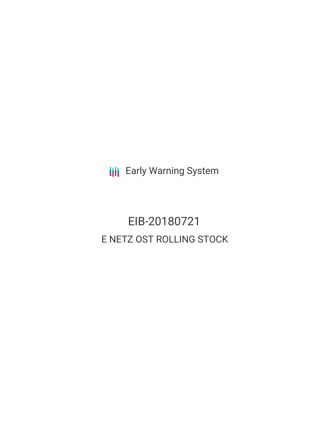**III** Early Warning System

# EIB-20180721 E NETZ OST ROLLING STOCK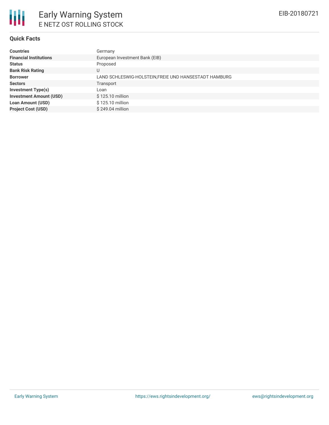### **Quick Facts**

| <b>Countries</b>               | Germany                                              |
|--------------------------------|------------------------------------------------------|
| <b>Financial Institutions</b>  | European Investment Bank (EIB)                       |
| <b>Status</b>                  | Proposed                                             |
| <b>Bank Risk Rating</b>        | U                                                    |
| <b>Borrower</b>                | LAND SCHLESWIG-HOLSTEIN,FREIE UND HANSESTADT HAMBURG |
| <b>Sectors</b>                 | Transport                                            |
| <b>Investment Type(s)</b>      | Loan                                                 |
| <b>Investment Amount (USD)</b> | \$125.10 million                                     |
| <b>Loan Amount (USD)</b>       | \$125.10 million                                     |
| <b>Project Cost (USD)</b>      | \$249.04 million                                     |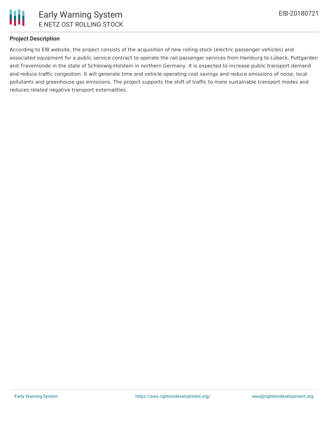

## **Project Description**

According to EIB website, the project consists of the acquisition of new rolling stock (electric passenger vehicles) and associated equipment for a public service contract to operate the rail passenger services from Hamburg to Lübeck, Puttgarden and Travemünde in the state of Schleswig-Holstein in northern Germany. It is expected to increase public transport demand and reduce traffic congestion. It will generate time and vehicle operating cost savings and reduce emissions of noise, local pollutants and greenhouse gas emissions. The project supports the shift of traffic to more sustainable transport modes and reduces related negative transport externalities.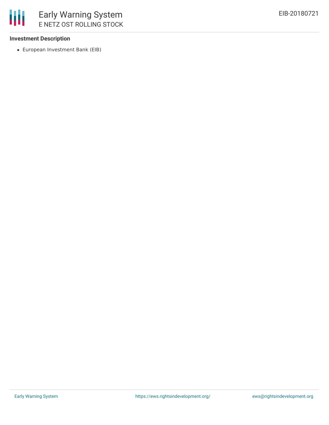# **Investment Description**

European Investment Bank (EIB)